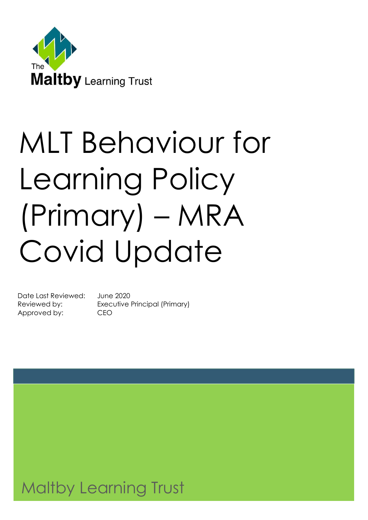

# MLT Behaviour for Learning Policy (Primary) – MRA Covid Update

Date Last Reviewed: June 2020 Approved by: CEO

Reviewed by: Executive Principal (Primary)

# Maltby Learning Trust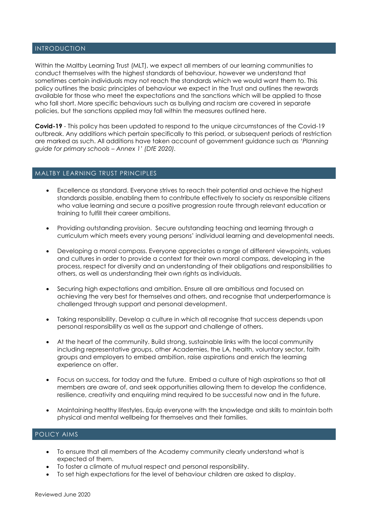#### INTRODUCTION

Within the Maltby Learning Trust (MLT), we expect all members of our learning communities to conduct themselves with the highest standards of behaviour, however we understand that sometimes certain individuals may not reach the standards which we would want them to. This policy outlines the basic principles of behaviour we expect in the Trust and outlines the rewards available for those who meet the expectations and the sanctions which will be applied to those who fall short. More specific behaviours such as bullying and racism are covered in separate policies, but the sanctions applied may fall within the measures outlined here.

**Covid-19** - This policy has been updated to respond to the unique circumstances of the Covid-19 outbreak. Any additions which pertain specifically to this period, or subsequent periods of restriction are marked as such. All additions have taken account of government guidance such as *'Planning guide for primary schools – Annex 1' (DfE 2020).*

#### MALTBY LEARNING TRUST PRINCIPLES

- Excellence as standard. Everyone strives to reach their potential and achieve the highest standards possible, enabling them to contribute effectively to society as responsible citizens who value learning and secure a positive progression route through relevant education or training to fulfill their career ambitions.
- Providing outstanding provision. Secure outstanding teaching and learning through a curriculum which meets every young persons' individual learning and developmental needs.
- Developing a moral compass. Everyone appreciates a range of different viewpoints, values and cultures in order to provide a context for their own moral compass, developing in the process, respect for diversity and an understanding of their obligations and responsibilities to others, as well as understanding their own rights as individuals.
- Securing high expectations and ambition. Ensure all are ambitious and focused on achieving the very best for themselves and others, and recognise that underperformance is challenged through support and personal development.
- Taking responsibility. Develop a culture in which all recognise that success depends upon personal responsibility as well as the support and challenge of others.
- At the heart of the community. Build strong, sustainable links with the local community including representative groups, other Academies, the LA, health, voluntary sector, faith groups and employers to embed ambition, raise aspirations and enrich the learning experience on offer.
- Focus on success, for today and the future. Embed a culture of high aspirations so that all members are aware of, and seek opportunities allowing them to develop the confidence, resilience, creativity and enquiring mind required to be successful now and in the future.
- Maintaining healthy lifestyles. Equip everyone with the knowledge and skills to maintain both physical and mental wellbeing for themselves and their families.

#### POLICY AIMS

- To ensure that all members of the Academy community clearly understand what is expected of them.
- To foster a climate of mutual respect and personal responsibility.
- To set high expectations for the level of behaviour children are asked to display.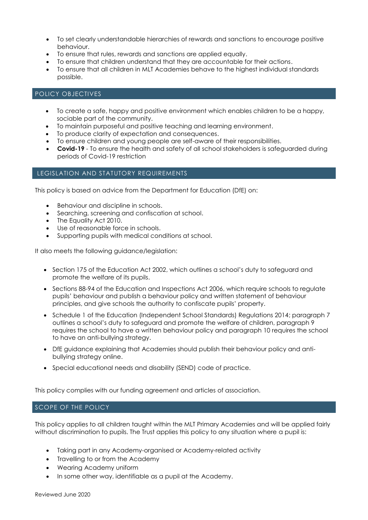- To set clearly understandable hierarchies of rewards and sanctions to encourage positive behaviour.
- To ensure that rules, rewards and sanctions are applied equally.
- To ensure that children understand that they are accountable for their actions.
- To ensure that all children in MLT Academies behave to the highest individual standards possible.

#### POLICY OBJECTIVES

- To create a safe, happy and positive environment which enables children to be a happy, sociable part of the community.
- To maintain purposeful and positive teaching and learning environment.
- To produce clarity of expectation and consequences.
- To ensure children and young people are self-aware of their responsibilities.
- **Covid-19** To ensure the health and safety of all school stakeholders is safeguarded during periods of Covid-19 restriction

#### LEGISLATION AND STATUTORY REQUIREMENTS

This policy is based on advice from the Department for Education (DfE) on:

- [Behaviour and discipline in schools.](https://www.gov.uk/government/publications/behaviour-and-discipline-in-schools)
- [Searching, screening and confiscation at school.](https://www.gov.uk/government/publications/searching-screening-and-confiscation)
- [The Equality Act 2010.](https://www.gov.uk/government/publications/equality-act-2010-advice-for-schools)
- [Use of reasonable force in schools.](https://www.gov.uk/government/publications/use-of-reasonable-force-in-schools)
- [Supporting pupils with medical conditions at school.](https://www.gov.uk/government/publications/supporting-pupils-at-school-with-medical-conditions--3)

It also meets the following guidance/legislation:

- Section 175 of the [Education Act 2002](http://www.legislation.gov.uk/ukpga/2002/32/section/175), which outlines a school's duty to safeguard and promote the welfare of its pupils.
- Sections 88-94 of the [Education and Inspections Act 2006,](http://www.legislation.gov.uk/ukpga/2006/40/section/88) which require schools to regulate pupils' behaviour and publish a behaviour policy and written statement of behaviour principles, and give schools the authority to confiscate pupils' property.
- Schedule 1 of the [Education \(Independent School Standards\) Regulations 2014;](http://www.legislation.gov.uk/uksi/2014/3283/schedule/made) paragraph 7 outlines a school's duty to safeguard and promote the welfare of children, paragraph 9 requires the school to have a written behaviour policy and paragraph 10 requires the school to have an anti-bullying strategy.
- [DfE guidance](https://www.gov.uk/guidance/what-academies-free-schools-and-colleges-should-publish-online) explaining that Academies should publish their behaviour policy and antibullying strategy online.
- Special educational needs and disability (SEND) code of practice.

This policy complies with our funding agreement and articles of association.

#### SCOPE OF THE POLICY

This policy applies to all children taught within the MLT Primary Academies and will be applied fairly without discrimination to pupils. The Trust applies this policy to any situation where a pupil is:

- Taking part in any Academy-organised or Academy-related activity
- Travelling to or from the Academy
- Wearing Academy uniform
- In some other way, identifiable as a pupil at the Academy.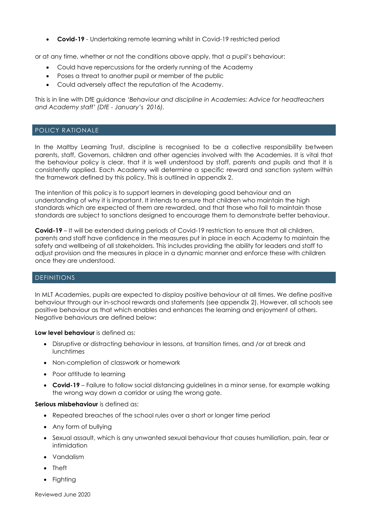**Covid-19** - Undertaking remote learning whilst in Covid-19 restricted period

or at any time, whether or not the conditions above apply, that a pupil's behaviour:

- Could have repercussions for the orderly running of the Academy
- Poses a threat to another pupil or member of the public
- Could adversely affect the reputation of the Academy.

This is in line with DfE guidance *'Behaviour and discipline in Academies: Advice for headteachers and Academy staff' (DfE - January's 2016).*

#### POLICY RATIONALE

In the Maltby Learning Trust, discipline is recognised to be a collective responsibility between parents, staff, Governors, children and other agencies involved with the Academies. It is vital that the behaviour policy is clear, that it is well understood by staff, parents and pupils and that it is consistently applied. Each Academy will determine a specific reward and sanction system within the framework defined by this policy. This is outlined in appendix 2.

The intention of this policy is to support learners in developing good behaviour and an understanding of why it is important. It intends to ensure that children who maintain the high standards which are expected of them are rewarded, and that those who fail to maintain those standards are subject to sanctions designed to encourage them to demonstrate better behaviour.

**Covid-19** – It will be extended during periods of Covid-19 restriction to ensure that all children, parents and staff have confidence in the measures put in place in each Academy to maintain the safety and wellbeing of all stakeholders. This includes providing the ability for leaders and staff to adjust provision and the measures in place in a dynamic manner and enforce these with children once they are understood.

#### DEFINITIONS

In MLT Academies, pupils are expected to display positive behaviour at all times. We define positive behaviour through our in-school rewards and statements (see appendix 2). However, all schools see positive behaviour as that which enables and enhances the learning and enjoyment of others. Negative behaviours are defined below:

**Low level behaviour** is defined as:

- Disruptive or distracting behaviour in lessons, at transition times, and /or at break and **lunchtimes**
- Non-completion of classwork or homework
- Poor attitude to learning
- **Covid-19** Failure to follow social distancing guidelines in a minor sense, for example walking the wrong way down a corridor or using the wrong gate.

#### **Serious misbehaviour** is defined as:

- Repeated breaches of the school rules over a short or longer time period
- Any form of bullying
- Sexual assault, which is any unwanted sexual behaviour that causes humiliation, pain, fear or intimidation
- Vandalism
- Theft
- Fighting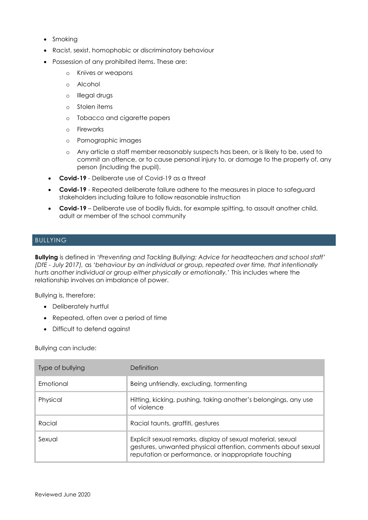- Smoking
- Racist, sexist, homophobic or discriminatory behaviour
- Possession of any prohibited items. These are:
	- o Knives or weapons
	- o Alcohol
	- o Illegal drugs
	- o Stolen items
	- o Tobacco and cigarette papers
	- o Fireworks
	- o Pornographic images
	- o Any article a staff member reasonably suspects has been, or is likely to be, used to commit an offence, or to cause personal injury to, or damage to the property of, any person (including the pupil).
	- **Covid-19** Deliberate use of Covid-19 as a threat
	- **Covid-19** Repeated deliberate failure adhere to the measures in place to safeguard stakeholders including failure to follow reasonable instruction
- **Covid-19** Deliberate use of bodily fluids, for example spitting, to assault another child, adult or member of the school community

#### **BULLYING**

**Bullying** is defined in '*Preventing and Tackling Bullying: Advice for headteachers and school staff' (DfE - July 2017),* as *'behaviour by an individual or group, repeated over time, that intentionally hurts another individual or group either physically or emotionally.'* This includes where the relationship involves an imbalance of power.

Bullying is, therefore:

- Deliberately hurtful
- Repeated, often over a period of time
- Difficult to defend against

Bullying can include:

| Type of bullying | Definition                                                                                                                                                                          |  |  |
|------------------|-------------------------------------------------------------------------------------------------------------------------------------------------------------------------------------|--|--|
| <b>Emotional</b> | Being unfriendly, excluding, formenting                                                                                                                                             |  |  |
| Physical         | Hitting, kicking, pushing, taking another's belongings, any use<br>of violence                                                                                                      |  |  |
| Racial           | Racial taunts, graffiti, gestures                                                                                                                                                   |  |  |
| Sexual           | Explicit sexual remarks, display of sexual material, sexual<br>gestures, unwanted physical attention, comments about sexual<br>reputation or performance, or inappropriate touching |  |  |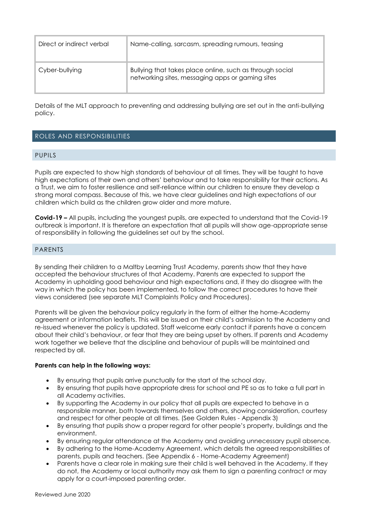| Direct or indirect verbal | Name-calling, sarcasm, spreading rumours, teasing                                                            |  |
|---------------------------|--------------------------------------------------------------------------------------------------------------|--|
| Cyber-bullying            | Bullying that takes place online, such as through social<br>networking sites, messaging apps or gaming sites |  |

Details of the MLT approach to preventing and addressing bullying are set out in the anti-bullying policy.

#### ROLES AND RESPONSIBILITIES

#### PUPILS

Pupils are expected to show high standards of behaviour at all times. They will be taught to have high expectations of their own and others' behaviour and to take responsibility for their actions. As a Trust, we aim to foster resilience and self-reliance within our children to ensure they develop a strong moral compass. Because of this, we have clear guidelines and high expectations of our children which build as the children grow older and more mature.

**Covid-19 –** All pupils, including the youngest pupils, are expected to understand that the Covid-19 outbreak is important. It is therefore an expectation that all pupils will show age-appropriate sense of responsibility in following the guidelines set out by the school.

#### PARENTS

By sending their children to a Maltby Learning Trust Academy, parents show that they have accepted the behaviour structures of that Academy. Parents are expected to support the Academy in upholding good behaviour and high expectations and, if they do disagree with the way in which the policy has been implemented, to follow the correct procedures to have their views considered (see separate MLT Complaints Policy and Procedures).

Parents will be given the behaviour policy regularly in the form of either the home-Academy agreement or information leaflets. This will be issued on their child's admission to the Academy and re-issued whenever the policy is updated. Staff welcome early contact if parents have a concern about their child's behaviour, or fear that they are being upset by others. If parents and Academy work together we believe that the discipline and behaviour of pupils will be maintained and respected by all.

#### **Parents can help in the following ways:**

- By ensuring that pupils arrive punctually for the start of the school day.
- By ensuring that pupils have appropriate dress for school and PE so as to take a full part in all Academy activities.
- By supporting the Academy in our policy that all pupils are expected to behave in a responsible manner, both towards themselves and others, showing consideration, courtesy and respect for other people at all times. (See Golden Rules - Appendix 3)
- By ensuring that pupils show a proper regard for other people's property, buildings and the environment.
- By ensuring regular attendance at the Academy and avoiding unnecessary pupil absence.
- By adhering to the Home-Academy Agreement, which details the agreed responsibilities of parents, pupils and teachers. (See Appendix 6 - Home-Academy Agreement)
- Parents have a clear role in making sure their child is well behaved in the Academy. If they do not, the Academy or local authority may ask them to sign a parenting contract or may apply for a court-imposed parenting order.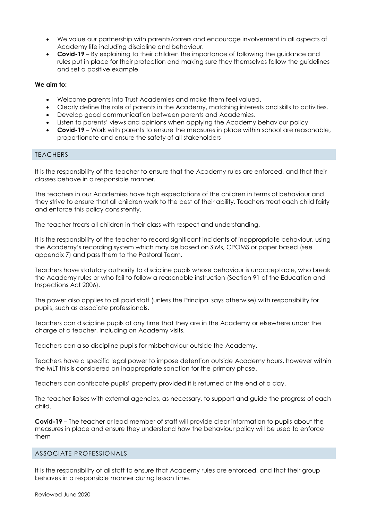- We value our partnership with parents/carers and encourage involvement in all aspects of Academy life including discipline and behaviour.
- **Covid-19** By explaining to their children the importance of following the guidance and rules put in place for their protection and making sure they themselves follow the guidelines and set a positive example

#### **We aim to:**

- Welcome parents into Trust Academies and make them feel valued.
- Clearly define the role of parents in the Academy, matching interests and skills to activities.
- Develop good communication between parents and Academies.
- Listen to parents' views and opinions when applying the Academy behaviour policy
- **Covid-19** Work with parents to ensure the measures in place within school are reasonable, proportionate and ensure the safety of all stakeholders

#### TEACHERS

It is the responsibility of the teacher to ensure that the Academy rules are enforced, and that their classes behave in a responsible manner.

The teachers in our Academies have high expectations of the children in terms of behaviour and they strive to ensure that all children work to the best of their ability. Teachers treat each child fairly and enforce this policy consistently.

The teacher treats all children in their class with respect and understanding.

It is the responsibility of the teacher to record significant incidents of inappropriate behaviour, using the Academy's recording system which may be based on SIMs, CPOMS or paper based (see appendix 7) and pass them to the Pastoral Team.

Teachers have statutory authority to discipline pupils whose behaviour is unacceptable, who break the Academy rules or who fail to follow a reasonable instruction (Section 91 of the Education and Inspections Act 2006).

The power also applies to all paid staff (unless the Principal says otherwise) with responsibility for pupils, such as associate professionals.

Teachers can discipline pupils at any time that they are in the Academy or elsewhere under the charge of a teacher, including on Academy visits.

Teachers can also discipline pupils for misbehaviour outside the Academy.

Teachers have a specific legal power to impose detention outside Academy hours, however within the MLT this is considered an inappropriate sanction for the primary phase.

Teachers can confiscate pupils' property provided it is returned at the end of a day.

The teacher liaises with external agencies, as necessary, to support and guide the progress of each child.

**Covid-19** – The teacher or lead member of staff will provide clear information to pupils about the measures in place and ensure they understand how the behaviour policy will be used to enforce them

#### ASSOCIATE PROFESSIONALS

It is the responsibility of all staff to ensure that Academy rules are enforced, and that their group behaves in a responsible manner during lesson time.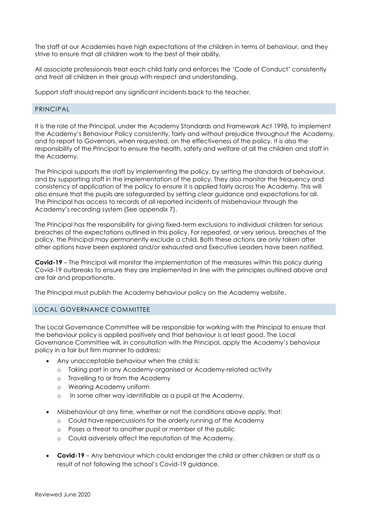The staff at our Academies have high expectations of the children in terms of behaviour, and they strive to ensure that all children work to the best of their ability.

All associate professionals treat each child fairly and enforces the 'Code of Conduct' consistently and treat all children in their group with respect and understanding.

Support staff should report any significant incidents back to the teacher.

#### PRINCIPAL

It is the role of the Principal, under the Academy Standards and Framework Act 1998, to implement the Academy's Behaviour Policy consistently, fairly and without prejudice throughout the Academy, and to report to Governors, when requested, on the effectiveness of the policy. It is also the responsibility of the Principal to ensure the health, safety and welfare of all the children and staff in the Academy.

The Principal supports the staff by implementing the policy, by setting the standards of behaviour, and by supporting staff in the implementation of the policy. They also monitor the frequency and consistency of application of the policy to ensure it is applied fairly across the Academy. This will also ensure that the pupils are safeguarded by setting clear guidance and expectations for all. The Principal has access to records of all reported incidents of misbehaviour through the Academy's recording system (See appendix 7).

The Principal has the responsibility for giving fixed-term exclusions to individual children for serious breaches of the expectations outlined in this policy. For repeated, or very serious, breaches of the policy, the Principal may permanently exclude a child. Both these actions are only taken after other options have been explored and/or exhausted and Executive Leaders have been notified.

**Covid-19** – The Principal will monitor the implementation of the measures within this policy during Covid-19 outbreaks to ensure they are implemented in line with the principles outlined above and are fair and proportionate.

The Principal must publish the Academy behaviour policy on the Academy website.

#### LOCAL GOVERNANCE COMMITTEE

The Local Governance Committee will be responsible for working with the Principal to ensure that the behaviour policy is applied positively and that behaviour is at least good. The Local Governance Committee will, in consultation with the Principal, apply the Academy's behaviour policy in a fair but firm manner to address:

- Any unacceptable behaviour when the child is:
	- o Taking part in any Academy-organised or Academy-related activity
	- o Travelling to or from the Academy
	- o Wearing Academy uniform
	- o In some other way identifiable as a pupil at the Academy.
- Misbehaviour at any time, whether or not the conditions above apply, that:
	- o Could have repercussions for the orderly running of the Academy
	- o Poses a threat to another pupil or member of the public
	- o Could adversely affect the reputation of the Academy.
- **Covid-19** Any behaviour which could endanger the child or other children or staff as a result of not following the school's Covid-19 guidance.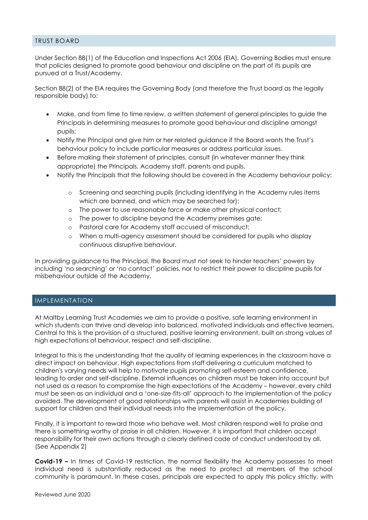#### TRUST BOARD

Under Section 88(1) of the Education and Inspections Act 2006 (EIA), Governing Bodies must ensure that policies designed to promote good behaviour and discipline on the part of its pupils are pursued at a Trust/Academy.

Section 88(2) of the EIA requires the Governing Body (and therefore the Trust board as the legally responsible body) to:

- Make, and from time to time review, a written statement of general principles to guide the Principals in determining measures to promote good behaviour and discipline amongst pupils;
- Notify the Principal and give him or her related guidance if the Board wants the Trust's behaviour policy to include particular measures or address particular issues.
- Before making their statement of principles, consult (in whatever manner they think appropriate) the Principals, Academy staff, parents and pupils.
- Notify the Principals that the following should be covered in the Academy behaviour policy:
	- o Screening and searching pupils (including identifying in the Academy rules items which are banned, and which may be searched for);
	- o The power to use reasonable force or make other physical contact;
	- o The power to discipline beyond the Academy premises gate;
	- o Pastoral care for Academy staff accused of misconduct;
	- o When a multi-agency assessment should be considered for pupils who display continuous disruptive behaviour.

In providing guidance to the Principal, the Board must not seek to hinder teachers' powers by including 'no searching' or 'no contact' policies, nor to restrict their power to discipline pupils for misbehaviour outside of the Academy.

#### IMPLEMENTATION

At Maltby Learning Trust Academies we aim to provide a positive, safe learning environment in which students can thrive and develop into balanced, motivated individuals and effective learners. Central to this is the provision of a structured, positive learning environment, built on strong values of high expectations of behaviour, respect and self-discipline.

Integral to this is the understanding that the quality of learning experiences in the classroom have a direct impact on behaviour. High expectations from staff delivering a curriculum matched to children's varying needs will help to motivate pupils promoting self-esteem and confidence, leading to order and self-discipline. External influences on children must be taken into account but not used as a reason to compromise the high expectations of the Academy – however, every child must be seen as an individual and a 'one-size-fits-all' approach to the implementation of the policy avoided. The development of good relationships with parents will assist in Academies building of support for children and their individual needs into the implementation of the policy.

Finally, it is important to reward those who behave well. Most children respond well to praise and there is something worthy of praise in all children. However, it is important that children accept responsibility for their own actions through a clearly defined code of conduct understood by all. (See Appendix 2)

**Covid-19 –** In times of Covid-19 restriction, the normal flexibility the Academy possesses to meet individual need is substantially reduced as the need to protect all members of the school community is paramount. In these cases, principals are expected to apply this policy strictly, with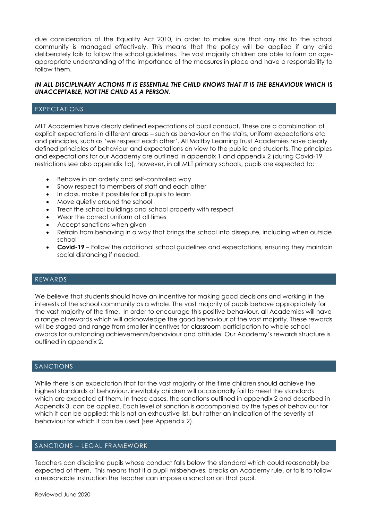due consideration of the Equality Act 2010, in order to make sure that any risk to the school community is managed effectively. This means that the policy will be applied if any child deliberately fails to follow the school guidelines. The vast majority children are able to form an ageappropriate understanding of the importance of the measures in place and have a responsibility to follow them.

#### *IN ALL DISCIPLINARY ACTIONS IT IS ESSENTIAL THE CHILD KNOWS THAT IT IS THE BEHAVIOUR WHICH IS UNACCEPTABLE, NOT THE CHILD AS A PERSON.*

#### EXPECTATIONS

MLT Academies have clearly defined expectations of pupil conduct. These are a combination of explicit expectations in different areas – such as behaviour on the stairs, uniform expectations etc and principles, such as 'we respect each other'. All Maltby Learning Trust Academies have clearly defined principles of behaviour and expectations on view to the public and students. The principles and expectations for our Academy are outlined in appendix 1 and appendix 2 (during Covid-19 restrictions see also appendix 1b), however, in all MLT primary schools, pupils are expected to:

- Behave in an orderly and self-controlled way
- Show respect to members of staff and each other
- In class, make it possible for all pupils to learn
- Move quietly around the school
- Treat the school buildings and school property with respect
- Wear the correct uniform at all times
- Accept sanctions when given
- Refrain from behaving in a way that brings the school into disrepute, including when outside school
- **Covid-19** Follow the additional school guidelines and expectations, ensuring they maintain social distancing if needed.

#### REWARDS

We believe that students should have an incentive for making good decisions and working in the interests of the school community as a whole. The vast majority of pupils behave appropriately for the vast majority of the time. In order to encourage this positive behaviour, all Academies will have a range of rewards which will acknowledge the good behaviour of the vast majority. These rewards will be staged and range from smaller incentives for classroom participation to whole school awards for outstanding achievements/behaviour and attitude. Our Academy's rewards structure is outlined in appendix 2.

#### SANCTIONS

While there is an expectation that for the vast majority of the time children should achieve the highest standards of behaviour, inevitably children will occasionally fail to meet the standards which are expected of them. In these cases, the sanctions outlined in appendix 2 and described in Appendix 3, can be applied. Each level of sanction is accompanied by the types of behaviour for which it can be applied; this is not an exhaustive list, but rather an indication of the severity of behaviour for which it can be used (see Appendix 2).

#### SANCTIONS – LEGAL FRAMEWORK

Teachers can discipline pupils whose conduct falls below the standard which could reasonably be expected of them. This means that if a pupil misbehaves, breaks an Academy rule, or fails to follow a reasonable instruction the teacher can impose a sanction on that pupil.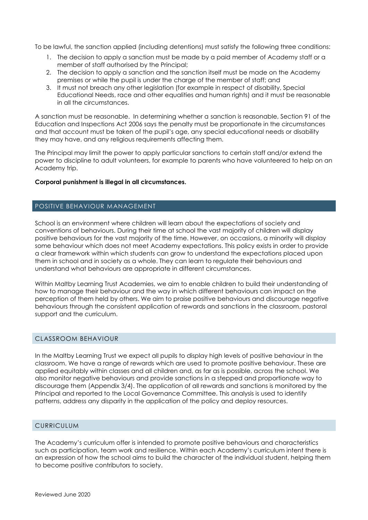To be lawful, the sanction applied (including detentions) must satisfy the following three conditions:

- 1. The decision to apply a sanction must be made by a paid member of Academy staff or a member of staff authorised by the Principal;
- 2. The decision to apply a sanction and the sanction itself must be made on the Academy premises or while the pupil is under the charge of the member of staff; and
- 3. It must not breach any other legislation (for example in respect of disability, Special Educational Needs, race and other equalities and human rights) and it must be reasonable in all the circumstances.

A sanction must be reasonable. In determining whether a sanction is reasonable, Section 91 of the Education and Inspections Act 2006 says the penalty must be proportionate in the circumstances and that account must be taken of the pupil's age, any special educational needs or disability they may have, and any religious requirements affecting them.

The Principal may limit the power to apply particular sanctions to certain staff and/or extend the power to discipline to adult volunteers, for example to parents who have volunteered to help on an Academy trip.

#### **Corporal punishment is illegal in all circumstances.**

#### POSITIVE BEHAVIOUR MANAGEMENT

School is an environment where children will learn about the expectations of society and conventions of behaviours. During their time at school the vast majority of children will display positive behaviours for the vast majority of the time. However, on occasions, a minority will display some behaviour which does not meet Academy expectations. This policy exists in order to provide a clear framework within which students can grow to understand the expectations placed upon them in school and in society as a whole. They can learn to regulate their behaviours and understand what behaviours are appropriate in different circumstances.

Within Maltby Learning Trust Academies, we aim to enable children to build their understanding of how to manage their behaviour and the way in which different behaviours can impact on the perception of them held by others. We aim to praise positive behaviours and discourage negative behaviours through the consistent application of rewards and sanctions in the classroom, pastoral support and the curriculum.

#### CLASSROOM BEHAVIOUR

In the Maltby Learning Trust we expect all pupils to display high levels of positive behaviour in the classroom. We have a range of rewards which are used to promote positive behaviour. These are applied equitably within classes and all children and, as far as is possible, across the school. We also monitor negative behaviours and provide sanctions in a stepped and proportionate way to discourage them (Appendix 3/4). The application of all rewards and sanctions is monitored by the Principal and reported to the Local Governance Committee. This analysis is used to identify patterns, address any disparity in the application of the policy and deploy resources.

#### **CURRICULUM**

The Academy's curriculum offer is intended to promote positive behaviours and characteristics such as participation, team work and resilience. Within each Academy's curriculum intent there is an expression of how the school aims to build the character of the individual student, helping them to become positive contributors to society.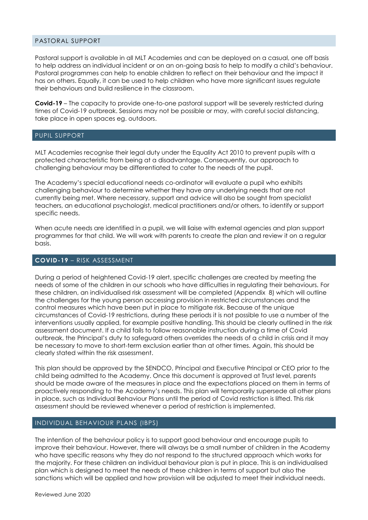#### PASTORAL SUPPORT

Pastoral support is available in all MLT Academies and can be deployed on a casual, one off basis to help address an individual incident or on an on-going basis to help to modify a child's behaviour. Pastoral programmes can help to enable children to reflect on their behaviour and the impact it has on others. Equally, it can be used to help children who have more significant issues regulate their behaviours and build resilience in the classroom.

**Covid-19** – The capacity to provide one-to-one pastoral support will be severely restricted during times of Covid-19 outbreak. Sessions may not be possible or may, with careful social distancing, take place in open spaces eg. outdoors.

#### PUPIL SUPPORT

MLT Academies recognise their legal duty under the Equality Act 2010 to prevent pupils with a protected characteristic from being at a disadvantage. Consequently, our approach to challenging behaviour may be differentiated to cater to the needs of the pupil.

The Academy's special educational needs co-ordinator will evaluate a pupil who exhibits challenging behaviour to determine whether they have any underlying needs that are not currently being met. Where necessary, support and advice will also be sought from specialist teachers, an educational psychologist, medical practitioners and/or others, to identify or support specific needs.

When acute needs are identified in a pupil, we will liaise with external agencies and plan support programmes for that child. We will work with parents to create the plan and review it on a regular basis.

#### **COVID-19** – RISK ASSESSMENT

During a period of heightened Covid-19 alert, specific challenges are created by meeting the needs of some of the children in our schools who have difficulties in regulating their behaviours. For these children, an individualised risk assessment will be completed (Appendix 8) which will outline the challenges for the young person accessing provision in restricted circumstances and the control measures which have been put in place to mitigate risk. Because of the unique circumstances of Covid-19 restrictions, during these periods it is not possible to use a number of the interventions usually applied, for example positive handling. This should be clearly outlined in the risk assessment document. If a child fails to follow reasonable instruction during a time of Covid outbreak, the Principal's duty to safeguard others overrides the needs of a child in crisis and it may be necessary to move to short-term exclusion earlier than at other times. Again, this should be clearly stated within the risk assessment.

This plan should be approved by the SENDCO, Principal and Executive Principal or CEO prior to the child being admitted to the Academy. Once this document is approved at Trust level, parents should be made aware of the measures in place and the expectations placed on them in terms of proactively responding to the Academy's needs. This plan will temporarily supersede all other plans in place, such as Individual Behaviour Plans until the period of Covid restriction is lifted. This risk assessment should be reviewed whenever a period of restriction is implemented.

#### INDIVIDUAL BEHAVIOUR PLANS (IBPS)

The intention of the behaviour policy is to support good behaviour and encourage pupils to improve their behaviour. However, there will always be a small number of children in the Academy who have specific reasons why they do not respond to the structured approach which works for the majority. For these children an individual behaviour plan is put in place. This is an individualised plan which is designed to meet the needs of these children in terms of support but also the sanctions which will be applied and how provision will be adjusted to meet their individual needs.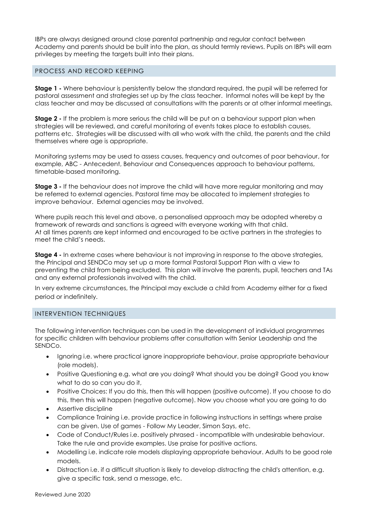IBPs are always designed around close parental partnership and regular contact between Academy and parents should be built into the plan, as should termly reviews. Pupils on IBPs will earn privileges by meeting the targets built into their plans.

#### PROCESS AND RECORD KEEPING

**Stage 1 -** Where behaviour is persistently below the standard required, the pupil will be referred for pastoral assessment and strategies set up by the class teacher. Informal notes will be kept by the class teacher and may be discussed at consultations with the parents or at other informal meetings.

**Stage 2 -** If the problem is more serious the child will be put on a behaviour support plan when strategies will be reviewed, and careful monitoring of events takes place to establish causes, patterns etc. Strategies will be discussed with all who work with the child, the parents and the child themselves where age is appropriate.

Monitoring systems may be used to assess causes, frequency and outcomes of poor behaviour, for example, ABC - Antecedent, Behaviour and Consequences approach to behaviour patterns, timetable-based monitoring.

**Stage 3 -** If the behaviour does not improve the child will have more regular monitoring and may be referred to external agencies. Pastoral time may be allocated to implement strategies to improve behaviour. External agencies may be involved.

Where pupils reach this level and above, a personalised approach may be adopted whereby a framework of rewards and sanctions is agreed with everyone working with that child. At all times parents are kept informed and encouraged to be active partners in the strategies to meet the child's needs.

**Stage 4 -** In extreme cases where behaviour is not improving in response to the above strategies, the Principal and SENDCo may set up a more formal Pastoral Support Plan with a view to preventing the child from being excluded. This plan will involve the parents, pupil, teachers and TAs and any external professionals involved with the child.

In very extreme circumstances, the Principal may exclude a child from Academy either for a fixed period or indefinitely.

#### INTERVENTION TECHNIQUES

The following intervention techniques can be used in the development of individual programmes for specific children with behaviour problems after consultation with Senior Leadership and the SENDCo.

- Ignoring i.e. where practical ignore inappropriate behaviour, praise appropriate behaviour (role models).
- Positive Questioning e.g. what are you doing? What should you be doing? Good you know what to do so can you do it,
- Positive Choices: If you do this, then this will happen (positive outcome). If you choose to do this, then this will happen (negative outcome). Now you choose what you are going to do
- Assertive discipline
- Compliance Training i.e. provide practice in following instructions in settings where praise can be given. Use of games - Follow My Leader, Simon Says, etc.
- Code of Conduct/Rules i.e. positively phrased incompatible with undesirable behaviour. Take the rule and provide examples. Use praise for positive actions.
- Modelling i.e. indicate role models displaying appropriate behaviour. Adults to be good role models.
- Distraction i.e. if a difficult situation is likely to develop distracting the child's attention, e.g. give a specific task, send a message, etc.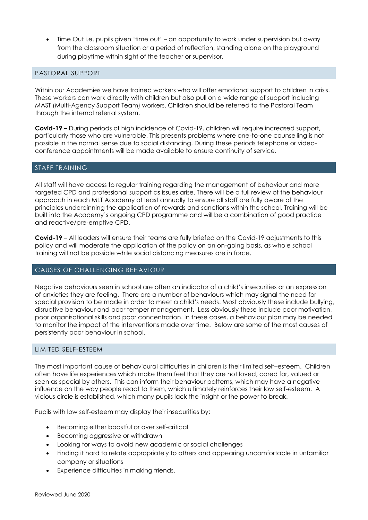Time Out i.e. pupils given 'time out' – an opportunity to work under supervision but away from the classroom situation or a period of reflection, standing alone on the playground during playtime within sight of the teacher or supervisor.

#### PASTORAL SUPPORT

Within our Academies we have trained workers who will offer emotional support to children in crisis. These workers can work directly with children but also pull on a wide range of support including MAST (Multi-Agency Support Team) workers. Children should be referred to the Pastoral Team through the internal referral system.

**Covid-19 –** During periods of high incidence of Covid-19, children will require increased support, particularly those who are vulnerable. This presents problems where one-to-one counselling is not possible in the normal sense due to social distancing. During these periods telephone or videoconference appointments will be made available to ensure continuity of service.

#### STAFF TRAINING

All staff will have access to regular training regarding the management of behaviour and more targeted CPD and professional support as issues arise. There will be a full review of the behaviour approach in each MLT Academy at least annually to ensure all staff are fully aware of the principles underpinning the application of rewards and sanctions within the school. Training will be built into the Academy's ongoing CPD programme and will be a combination of good practice and reactive/pre-emptive CPD.

**Covid-19** – All leaders will ensure their teams are fully briefed on the Covid-19 adjustments to this policy and will moderate the application of the policy on an on-going basis, as whole school training will not be possible while social distancing measures are in force.

#### CAUSES OF CHALLENGING BEHAVIOUR

Negative behaviours seen in school are often an indicator of a child's insecurities or an expression of anxieties they are feeling. There are a number of behaviours which may signal the need for special provision to be made in order to meet a child's needs. Most obviously these include bullying, disruptive behaviour and poor temper management. Less obviously these include poor motivation, poor organisational skills and poor concentration. In these cases, a behaviour plan may be needed to monitor the impact of the interventions made over time. Below are some of the most causes of persistently poor behaviour in school.

#### LIMITED SELF-ESTEEM

The most important cause of behavioural difficulties in children is their limited self–esteem. Children often have life experiences which make them feel that they are not loved, cared for, valued or seen as special by others. This can inform their behaviour patterns, which may have a negative influence on the way people react to them, which ultimately reinforces their low self-esteem. A vicious circle is established, which many pupils lack the insight or the power to break.

Pupils with low self-esteem may display their insecurities by:

- Becoming either boastful or over self-critical
- Becoming aggressive or withdrawn
- Looking for ways to avoid new academic or social challenges
- Finding it hard to relate appropriately to others and appearing uncomfortable in unfamiliar company or situations
- Experience difficulties in making friends.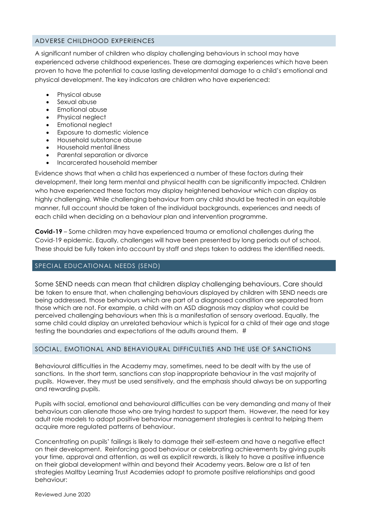#### ADVERSE CHILDHOOD EXPERIENCES

A significant number of children who display challenging behaviours in school may have experienced adverse childhood experiences. These are damaging experiences which have been proven to have the potential to cause lasting developmental damage to a child's emotional and physical development. The key indicators are children who have experienced:

- [Physical abuse](https://en.wikipedia.org/wiki/Physical_abuse)
- [Sexual abuse](https://en.wikipedia.org/wiki/Child_sexual_abuse)
- [Emotional abuse](https://en.wikipedia.org/wiki/Emotional_abuse)
- Physical [neglect](https://en.wikipedia.org/wiki/Neglect)
- Emotional [neglect](https://en.wikipedia.org/wiki/Neglect)
- Exposure to [domestic violence](https://en.wikipedia.org/wiki/Domestic_violence)
- Household [substance abuse](https://en.wikipedia.org/wiki/Substance_abuse)
- Household [mental illness](https://en.wikipedia.org/wiki/Mental_illness)
- Parental [separation](https://en.wikipedia.org/wiki/Marital_separation) or [divorce](https://en.wikipedia.org/wiki/Divorce)
- [Incarcerated](https://en.wikipedia.org/wiki/Imprisonment) household member

Evidence shows that when a child has experienced a number of these factors during their development, their long term mental and physical health can be significantly impacted. Children who have experienced these factors may display heightened behaviour which can display as highly challenging. While challenging behaviour from any child should be treated in an equitable manner, full account should be taken of the individual backgrounds, experiences and needs of each child when deciding on a behaviour plan and intervention programme.

**Covid-19** – Some children may have experienced trauma or emotional challenges during the Covid-19 epidemic. Equally, challenges will have been presented by long periods out of school. These should be fully taken into account by staff and steps taken to address the identified needs.

#### SPECIAL EDUCATIONAL NEEDS (SEND)

Some SEND needs can mean that children display challenging behaviours. Care should be taken to ensure that, when challenging behaviours displayed by children with SEND needs are being addressed, those behaviours which are part of a diagnosed condition are separated from those which are not. For example, a child with an ASD diagnosis may display what could be perceived challenging behaviours when this is a manifestation of sensory overload. Equally, the same child could display an unrelated behaviour which is typical for a child of their age and stage testing the boundaries and expectations of the adults around them. #

#### SOCIAL, EMOTIONAL AND BEHAVIOURAL DIFFICULTIES AND THE USE OF SANCTIONS

Behavioural difficulties in the Academy may, sometimes, need to be dealt with by the use of sanctions. In the short term, sanctions can stop inappropriate behaviour in the vast majority of pupils. However, they must be used sensitively, and the emphasis should always be on supporting and rewarding pupils.

Pupils with social, emotional and behavioural difficulties can be very demanding and many of their behaviours can alienate those who are trying hardest to support them. However, the need for key adult role models to adopt positive behaviour management strategies is central to helping them acquire more regulated patterns of behaviour.

Concentrating on pupils' failings is likely to damage their self-esteem and have a negative effect on their development. Reinforcing good behaviour or celebrating achievements by giving pupils your time, approval and attention, as well as explicit rewards, is likely to have a positive influence on their global development within and beyond their Academy years. Below are a list of ten strategies Maltby Learning Trust Academies adopt to promote positive relationships and good behaviour: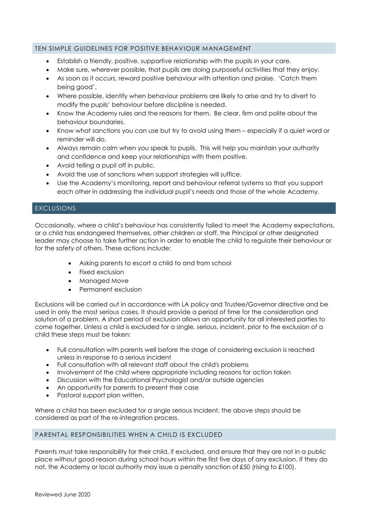#### TEN SIMPLE GUIDELINES FOR POSITIVE BEHAVIOUR MANAGEMENT

- Establish a friendly, positive, supportive relationship with the pupils in your care.
- Make sure, wherever possible, that pupils are doing purposeful activities that they enjoy.
- As soon as it occurs, reward positive behaviour with attention and praise. 'Catch them being good'.
- Where possible, identify when behaviour problems are likely to arise and try to divert to modify the pupils' behaviour before discipline is needed.
- Know the Academy rules and the reasons for them. Be clear, firm and polite about the behaviour boundaries.
- Know what sanctions you can use but try to avoid using them especially if a quiet word or reminder will do.
- Always remain calm when you speak to pupils. This will help you maintain your authority and confidence and keep your relationships with them positive.
- Avoid telling a pupil off in public.
- Avoid the use of sanctions when support strategies will suffice.
- Use the Academy's monitoring, report and behaviour referral systems so that you support each other in addressing the individual pupil's needs and those of the whole Academy.

#### EXCLUSIONS

Occasionally, where a child's behaviour has consistently failed to meet the Academy expectations, or a child has endangered themselves, other children or staff, the Principal or other designated leader may choose to take further action in order to enable the child to regulate their behaviour or for the safety of others. These actions include:

- Asking parents to escort a child to and from school
- Fixed exclusion
- Managed Move
- Permanent exclusion

Exclusions will be carried out in accordance with LA policy and Trustee/Governor directive and be used in only the most serious cases. It should provide a period of time for the consideration and solution of a problem. A short period of exclusion allows an opportunity for all interested parties to come together. Unless a child is excluded for a single, serious, incident, prior to the exclusion of a child these steps must be taken:

- Full consultation with parents well before the stage of considering exclusion is reached unless in response to a serious incident
- Full consultation with all relevant staff about the child's problems
- Involvement of the child where appropriate including reasons for action taken
- Discussion with the Educational Psychologist and/or outside agencies
- An opportunity for parents to present their case
- Pastoral support plan written.

Where a child has been excluded for a single serious incident, the above steps should be considered as part of the re-integration process.

#### PARENTAL RESPONSIBILITIES WHEN A CHILD IS EXCLUDED

Parents must take responsibility for their child, if excluded, and ensure that they are not in a public place without good reason during school hours within the first five days of any exclusion. If they do not, the Academy or local authority may issue a penalty sanction of £50 (rising to £100).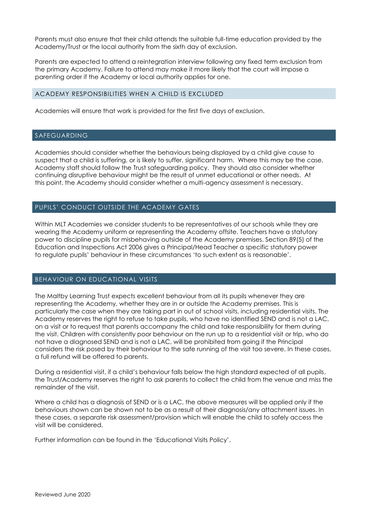Parents must also ensure that their child attends the suitable full-time education provided by the Academy/Trust or the local authority from the sixth day of exclusion.

Parents are expected to attend a reintegration interview following any fixed term exclusion from the primary Academy. Failure to attend may make it more likely that the court will impose a parenting order if the Academy or local authority applies for one.

#### ACADEMY RESPONSIBILITIES WHEN A CHILD IS EXCLUDED

Academies will ensure that work is provided for the first five days of exclusion.

#### SAFEGUARDING

Academies should consider whether the behaviours being displayed by a child give cause to suspect that a child is suffering, or is likely to suffer, significant harm. Where this may be the case, Academy staff should follow the Trust safeguarding policy. They should also consider whether continuing disruptive behaviour might be the result of unmet educational or other needs. At this point, the Academy should consider whether a multi-agency assessment is necessary.

#### PUPILS' CONDUCT OUTSIDE THE ACADEMY GATES

Within MLT Academies we consider students to be representatives of our schools while they are wearing the Academy uniform or representing the Academy offsite. Teachers have a statutory power to discipline pupils for misbehaving outside of the Academy premises. Section 89(5) of the Education and Inspections Act 2006 gives a Principal/Head Teacher a specific statutory power to regulate pupils' behaviour in these circumstances 'to such extent as is reasonable'.

#### BEHAVIOUR ON EDUCATIONAL VISITS

The Maltby Learning Trust expects excellent behaviour from all its pupils whenever they are representing the Academy, whether they are in or outside the Academy premises. This is particularly the case when they are taking part in out of school visits, including residential visits. The Academy reserves the right to refuse to take pupils, who have no identified SEND and is not a LAC, on a visit or to request that parents accompany the child and take responsibility for them during the visit. Children with consistently poor behaviour on the run up to a residential visit or trip, who do not have a diagnosed SEND and is not a LAC, will be prohibited from going if the Principal considers the risk posed by their behaviour to the safe running of the visit too severe. In these cases, a full refund will be offered to parents.

During a residential visit, if a child's behaviour falls below the high standard expected of all pupils, the Trust/Academy reserves the right to ask parents to collect the child from the venue and miss the remainder of the visit.

Where a child has a diagnosis of SEND or is a LAC, the above measures will be applied only if the behaviours shown can be shown not to be as a result of their diagnosis/any attachment issues. In these cases, a separate risk assessment/provision which will enable the child to safely access the visit will be considered.

Further information can be found in the 'Educational Visits Policy'.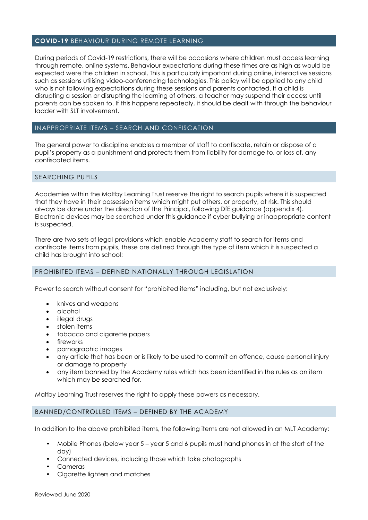#### **COVID-19** BEHAVIOUR DURING REMOTE LEARNING

During periods of Covid-19 restrictions, there will be occasions where children must access learning through remote, online systems. Behaviour expectations during these times are as high as would be expected were the children in school. This is particularly important during online, interactive sessions such as sessions utilising video-conferencing technologies. This policy will be applied to any child who is not following expectations during these sessions and parents contacted. If a child is disrupting a session or disrupting the learning of others, a teacher may suspend their access until parents can be spoken to. If this happens repeatedly, it should be dealt with through the behaviour ladder with SLT involvement.

#### INAPPROPRIATE ITEMS – SEARCH AND CONFISCATION

The general power to discipline enables a member of staff to confiscate, retain or dispose of a pupil's property as a punishment and protects them from liability for damage to, or loss of, any confiscated items.

#### SEARCHING PUPILS

Academies within the Maltby Learning Trust reserve the right to search pupils where it is suspected that they have in their possession items which might put others, or property, at risk. This should always be done under the direction of the Principal, following DfE guidance (appendix 4). Electronic devices may be searched under this guidance if cyber bullying or inappropriate content is suspected.

There are two sets of legal provisions which enable Academy staff to search for items and confiscate items from pupils, these are defined through the type of item which it is suspected a child has brought into school:

#### PROHIBITED ITEMS – DEFINED NATIONALLY THROUGH LEGISLATION

Power to search without consent for "prohibited items" including, but not exclusively:

- knives and weapons
- alcohol
- illegal drugs
- stolen items
- tobacco and cigarette papers
- fireworks
- pornographic images
- any article that has been or is likely to be used to commit an offence, cause personal injury or damage to property
- any item banned by the Academy rules which has been identified in the rules as an item which may be searched for.

Maltby Learning Trust reserves the right to apply these powers as necessary.

#### BANNED/CONTROLLED ITEMS – DEFINED BY THE ACADEMY

In addition to the above prohibited items, the following items are not allowed in an MLT Academy:

- Mobile Phones (below year 5 year 5 and 6 pupils must hand phones in at the start of the day)
- Connected devices, including those which take photographs
- Cameras
- Cigarette lighters and matches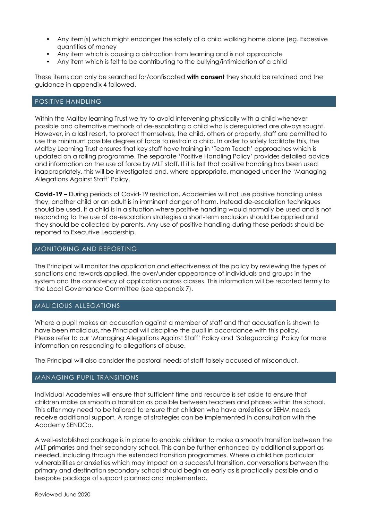- Any item(s) which might endanger the safety of a child walking home alone (eg. Excessive quantities of money
- Any item which is causing a distraction from learning and is not appropriate
- Any item which is felt to be contributing to the bullying/intimidation of a child

These items can only be searched for/confiscated **with consent** they should be retained and the guidance in appendix 4 followed.

#### POSITIVE HANDLING

Within the Maltby learning Trust we try to avoid intervening physically with a child whenever possible and alternative methods of de-escalating a child who is deregulated are always sought. However, in a last resort, to protect themselves, the child, others or property, staff are permitted to use the minimum possible degree of force to restrain a child. In order to safely facilitate this, the Maltby Learning Trust ensures that key staff have training in 'Team Teach' approaches which is updated on a rolling programme. The separate 'Positive Handling Policy' provides detailed advice and information on the use of force by MLT staff. If it is felt that positive handling has been used inappropriately, this will be investigated and, where appropriate, managed under the 'Managing Allegations Against Staff' Policy.

**Covid-19 –** During periods of Covid-19 restriction, Academies will not use positive handling unless they, another child or an adult is in imminent danger of harm. Instead de-escalation techniques should be used. If a child is in a situation where positive handling would normally be used and is not responding to the use of de-escalation strategies a short-term exclusion should be applied and they should be collected by parents. Any use of positive handling during these periods should be reported to Executive Leadership.

#### MONITORING AND REPORTING

The Principal will monitor the application and effectiveness of the policy by reviewing the types of sanctions and rewards applied, the over/under appearance of individuals and groups in the system and the consistency of application across classes. This information will be reported termly to the Local Governance Committee (see appendix 7).

#### MALICIOUS ALLEGATIONS

Where a pupil makes an accusation against a member of staff and that accusation is shown to have been malicious, the Principal will discipline the pupil in accordance with this policy. Please refer to our 'Managing Allegations Against Staff' Policy and 'Safeguarding' Policy for more information on responding to allegations of abuse.

The Principal will also consider the pastoral needs of staff falsely accused of misconduct.

#### MANAGING PUPIL TRANSITIONS

Individual Academies will ensure that sufficient time and resource is set aside to ensure that children make as smooth a transition as possible between teachers and phases within the school. This offer may need to be tailored to ensure that children who have anxieties or SEHM needs receive additional support. A range of strategies can be implemented in consultation with the Academy SENDCo.

A well-established package is in place to enable children to make a smooth transition between the MLT primaries and their secondary school. This can be further enhanced by additional support as needed, including through the extended transition programmes. Where a child has particular vulnerabilities or anxieties which may impact on a successful transition, conversations between the primary and destination secondary school should begin as early as is practically possible and a bespoke package of support planned and implemented.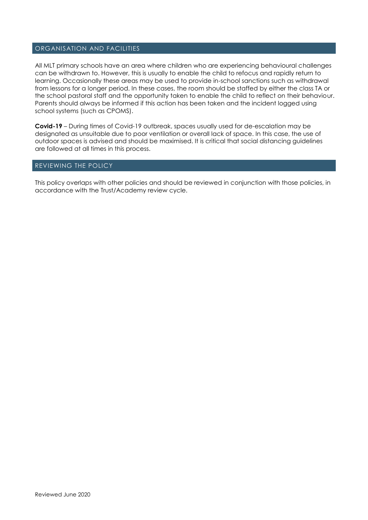#### ORGANISATION AND FACILITIES

All MLT primary schools have an area where children who are experiencing behavioural challenges can be withdrawn to. However, this is usually to enable the child to refocus and rapidly return to learning. Occasionally these areas may be used to provide in-school sanctions such as withdrawal from lessons for a longer period. In these cases, the room should be staffed by either the class TA or the school pastoral staff and the opportunity taken to enable the child to reflect on their behaviour. Parents should always be informed if this action has been taken and the incident logged using school systems (such as CPOMS).

**Covid-19** – During times of Covid-19 outbreak, spaces usually used for de-escalation may be designated as unsuitable due to poor ventilation or overall lack of space. In this case, the use of outdoor spaces is advised and should be maximised. It is critical that social distancing guidelines are followed at all times in this process.

#### REVIEWING THE POLICY

This policy overlaps with other policies and should be reviewed in conjunction with those policies, in accordance with the Trust/Academy review cycle.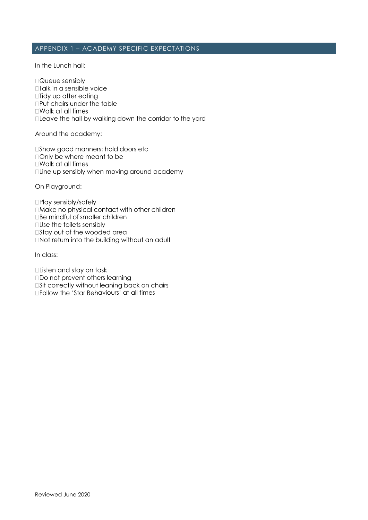#### APPENDIX 1 – ACADEMY SPECIFIC EXPECTATIONS

In the Lunch hall:

□Queue sensibly

- □Talk in a sensible voice
- □Tidy up after eating
- □Put chairs under the table
- $\square$  Walk at all times
- □Leave the hall by walking down the corridor to the yard

Around the academy:

□Show good manners: hold doors etc

- □ Only be where meant to be
- □Walk at all times
- □Line up sensibly when moving around academy

On Playground:

- □Play sensibly/safely
- □ Make no physical contact with other children
- **Be mindful of smaller children**
- $\square$ Use the toilets sensibly
- □Stay out of the wooded area
- **Not return into the building without an adult**

In class:

- □ Listen and stay on task
- **ODo not prevent others learning**
- **Sit correctly without leaning back on chairs**
- $\square$  Follow the 'Star Behaviours' at all times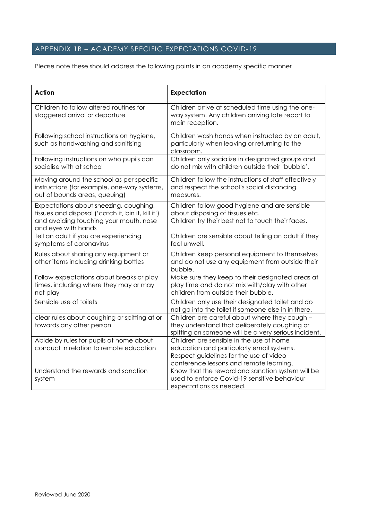# APPENDIX 1B – ACADEMY SPECIFIC EXPECTATIONS COVID-19

Please note these should address the following points in an academy specific manner

| <b>Action</b>                                                                                                                                                 | <b>Expectation</b>                                                                                                                                                          |
|---------------------------------------------------------------------------------------------------------------------------------------------------------------|-----------------------------------------------------------------------------------------------------------------------------------------------------------------------------|
| Children to follow altered routines for<br>staggered arrival or departure                                                                                     | Children arrive at scheduled time using the one-<br>way system. Any children arriving late report to<br>main reception.                                                     |
| Following school instructions on hygiene,<br>such as handwashing and sanitising                                                                               | Children wash hands when instructed by an adult,<br>particularly when leaving or returning to the<br>classroom.                                                             |
| Following instructions on who pupils can<br>socialise with at school                                                                                          | Children only socialize in designated groups and<br>do not mix with children outside their 'bubble'.                                                                        |
| Moving around the school as per specific<br>instructions (for example, one-way systems,<br>out of bounds areas, queuing)                                      | Children follow the instructions of staff effectively<br>and respect the school's social distancing<br>measures.                                                            |
| Expectations about sneezing, coughing,<br>tissues and disposal ('catch it, bin it, kill it')<br>and avoiding touching your mouth, nose<br>and eyes with hands | Children follow good hygiene and are sensible<br>about disposing of tissues etc.<br>Children try their best not to touch their faces.                                       |
| Tell an adult if you are experiencing<br>symptoms of coronavirus                                                                                              | Children are sensible about telling an adult if they<br>feel unwell.                                                                                                        |
| Rules about sharing any equipment or<br>other items including drinking bottles                                                                                | Children keep personal equipment to themselves<br>and do not use any equipment from outside their<br>bubble.                                                                |
| Follow expectations about breaks or play<br>times, including where they may or may<br>not play                                                                | Make sure they keep to their designated areas at<br>play time and do not mix with/play with other<br>children from outside their bubble.                                    |
| Sensible use of toilets                                                                                                                                       | Children only use their designated toilet and do<br>not go into the toilet if someone else in in there.                                                                     |
| clear rules about coughing or spitting at or<br>towards any other person                                                                                      | Children are careful about where they cough -<br>they understand that deliberately coughing or<br>spitting on someone will be a very serious incident.                      |
| Abide by rules for pupils at home about<br>conduct in relation to remote education                                                                            | Children are sensible in the use of home<br>education and particularly email systems.<br>Respect guidelines for the use of video<br>conference lessons and remote learning. |
| Understand the rewards and sanction<br>system                                                                                                                 | Know that the reward and sanction system will be<br>used to enforce Covid-19 sensitive behaviour<br>expectations as needed.                                                 |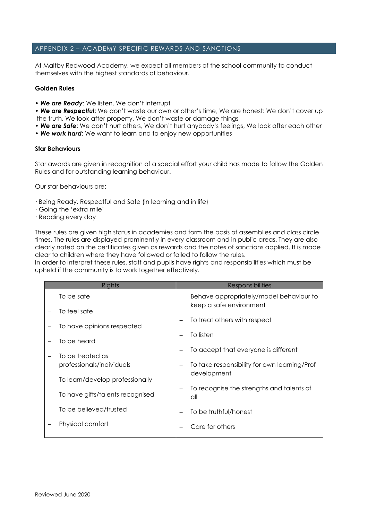#### APPENDIX 2 – ACADEMY SPECIFIC REWARDS AND SANCTIONS

At Maltby Redwood Academy, we expect all members of the school community to conduct themselves with the highest standards of behaviour.

#### **Golden Rules**

• *We are Ready*: We listen, We don't interrupt

• *We are Respectful*: We don't waste our own or other's time, We are honest: We don't cover up the truth, We look after property, We don't waste or damage things

• *We are Safe*: We don't hurt others, We don't hurt anybody's feelings, We look after each other

• *We work hard*: We want to learn and to enjoy new opportunities

#### **Star Behaviours**

Star awards are given in recognition of a special effort your child has made to follow the Golden Rules and for outstanding learning behaviour.

Our star behaviours are:

- · Being Ready, Respectful and Safe (in learning and in life)
- · Going the 'extra mile'
- · Reading every day

These rules are given high status in academies and form the basis of assemblies and class circle times. The rules are displayed prominently in every classroom and in public areas. They are also clearly noted on the certificates given as rewards and the notes of sanctions applied. It is made clear to children where they have followed or failed to follow the rules.

In order to interpret these rules, staff and pupils have rights and responsibilities which must be upheld if the community is to work together effectively.

| Rights |                                  |  | <b>Responsibilities</b>                          |  |  |  |
|--------|----------------------------------|--|--------------------------------------------------|--|--|--|
|        | To be safe                       |  | Behave appropriately/model behaviour to          |  |  |  |
|        | To feel safe                     |  | keep a safe environment                          |  |  |  |
|        | To have opinions respected       |  | To treat others with respect                     |  |  |  |
|        | To be heard                      |  | To listen                                        |  |  |  |
|        | To be treated as                 |  | To accept that everyone is different             |  |  |  |
|        | professionals/individuals        |  | To take responsibility for own learning/Prof     |  |  |  |
|        | To learn/develop professionally  |  | development                                      |  |  |  |
|        | To have gifts/talents recognised |  | To recognise the strengths and talents of<br>all |  |  |  |
|        | To be believed/trusted           |  | To be truthful/honest                            |  |  |  |
|        | Physical comfort                 |  | Care for others                                  |  |  |  |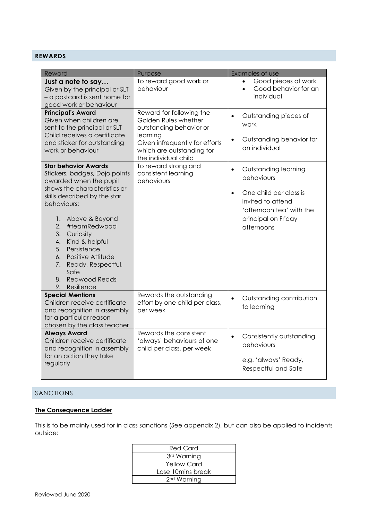## **REWARDS**

| Reward                                                                                                                                                                                                                                                                                                     | Purpose                                                                                                                                                                                                                                     | Examples of use                                                                                                                                         |
|------------------------------------------------------------------------------------------------------------------------------------------------------------------------------------------------------------------------------------------------------------------------------------------------------------|---------------------------------------------------------------------------------------------------------------------------------------------------------------------------------------------------------------------------------------------|---------------------------------------------------------------------------------------------------------------------------------------------------------|
| Just a note to say<br>Given by the principal or SLT<br>- a postcard is sent home for<br>good work or behaviour                                                                                                                                                                                             | To reward good work or<br>behaviour                                                                                                                                                                                                         | Good pieces of work<br>$\bullet$<br>Good behavior for an<br>individual                                                                                  |
| <b>Principal's Award</b><br>Given when children are<br>sent to the principal or SLT<br>Child receives a certificate<br>and sticker for outstanding<br>work or behaviour<br><b>Star behavior Awards</b><br>Stickers, badges, Dojo points<br>awarded when the pupil                                          | Reward for following the<br>Golden Rules whether<br>outstanding behavior or<br>learning<br>Given infrequently for efforts<br>which are outstanding for<br>the individual child<br>To reward strong and<br>consistent learning<br>behaviours | Outstanding pieces of<br>$\bullet$<br>work<br>Outstanding behavior for<br>$\bullet$<br>an individual<br>Outstanding learning<br>$\bullet$<br>behaviours |
| shows the characteristics or<br>skills described by the star<br>behaviours:<br>1.<br>Above & Beyond<br>2.<br>#teamRedwood<br>3.<br>Curiosity<br>Kind & helpful<br>4.<br>Persistence<br>5.<br>Positive Attitude<br>6.<br>7.<br>Ready, Respectful,<br>Safe<br><b>Redwood Reads</b><br>8.<br>9.<br>Resilience |                                                                                                                                                                                                                                             | One child per class is<br>$\bullet$<br>invited to attend<br>'afternoon tea' with the<br>principal on Friday<br>afternoons                               |
| <b>Special Mentions</b><br>Children receive certificate<br>and recognition in assembly<br>for a particular reason<br>chosen by the class teacher                                                                                                                                                           | Rewards the outstanding<br>effort by one child per class,<br>per week                                                                                                                                                                       | Outstanding contribution<br>$\bullet$<br>to learning                                                                                                    |
| <b>Always Award</b><br>Children receive certificate<br>and recognition in assembly<br>for an action they take<br>regularly                                                                                                                                                                                 | Rewards the consistent<br>'always' behaviours of one<br>child per class, per week                                                                                                                                                           | Consistently outstanding<br>$\bullet$<br>behaviours<br>e.g. 'always' Ready,<br>Respectful and Safe                                                      |

#### SANCTIONS

## **The Consequence Ladder**

This is to be mainly used for in class sanctions (See appendix 2), but can also be applied to incidents outside: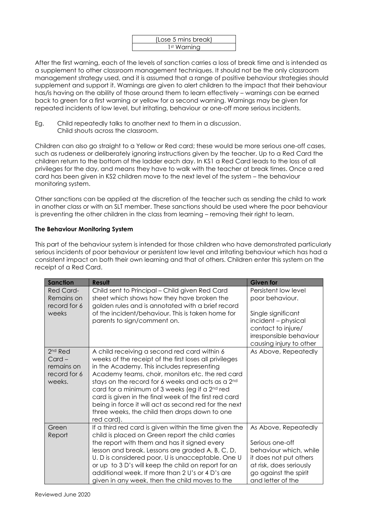

After the first warning, each of the levels of sanction carries a loss of break time and is intended as a supplement to other classroom management techniques. It should not be the only classroom management strategy used, and it is assumed that a range of positive behaviour strategies should supplement and support it. Warnings are given to alert children to the impact that their behaviour has/is having on the ability of those around them to learn effectively – warnings can be earned back to green for a first warning or yellow for a second warning. Warnings may be given for repeated incidents of low level, but irritating, behaviour or one-off more serious incidents.

Eg. Child repeatedly talks to another next to them in a discussion. Child shouts across the classroom.

Children can also go straight to a Yellow or Red card; these would be more serious one-off cases, such as rudeness or deliberately ignoring instructions given by the teacher. Up to a Red Card the children return to the bottom of the ladder each day. In KS1 a Red Card leads to the loss of all privileges for the day, and means they have to walk with the teacher at break times. Once a red card has been given in KS2 children move to the next level of the system – the behaviour monitoring system.

Other sanctions can be applied at the discretion of the teacher such as sending the child to work in another class or with an SLT member. These sanctions should be used where the poor behaviour is preventing the other children in the class from learning – removing their right to learn.

#### **The Behaviour Monitoring System**

This part of the behaviour system is intended for those children who have demonstrated particularly serious incidents of poor behaviour or persistent low level and irritating behaviour which has had a consistent impact on both their own learning and that of others. Children enter this system on the receipt of a Red Card.

| <b>Sanction</b>                                                         | <b>Result</b>                                                                                                                                                                                                                                                                                                                                                                                                                                                                                                | <b>Given for</b>                                                                                |
|-------------------------------------------------------------------------|--------------------------------------------------------------------------------------------------------------------------------------------------------------------------------------------------------------------------------------------------------------------------------------------------------------------------------------------------------------------------------------------------------------------------------------------------------------------------------------------------------------|-------------------------------------------------------------------------------------------------|
| <b>Red Card-</b><br>Remains on<br>record for 6<br>weeks                 | Child sent to Principal - Child given Red Card<br>sheet which shows how they have broken the<br>golden rules and is annotated with a brief record<br>of the incident/behaviour. This is taken home for                                                                                                                                                                                                                                                                                                       | Persistent low level<br>poor behaviour.<br>Single significant                                   |
|                                                                         | parents to sign/comment on.                                                                                                                                                                                                                                                                                                                                                                                                                                                                                  | incident - physical<br>contact to injure/<br>irresponsible behaviour<br>causing injury to other |
| 2 <sup>nd</sup> Red<br>$Card -$<br>remains on<br>record for 6<br>weeks. | A child receiving a second red card within 6<br>weeks of the receipt of the first loses all privileges<br>in the Academy. This includes representing<br>Academy teams, choir, monitors etc. the red card<br>stays on the record for 6 weeks and acts as a 2nd<br>card for a minimum of 3 weeks (eg if a 2 <sup>nd</sup> red<br>card is given in the final week of the first red card<br>being in force it will act as second red for the next<br>three weeks, the child then drops down to one<br>red card). | As Above, Repeatedly                                                                            |
| Green<br>Report                                                         | If a third red card is given within the time given the<br>child is placed on Green report the child carries<br>the report with them and has it signed every<br>lesson and break. Lessons are graded A, B, C, D,                                                                                                                                                                                                                                                                                              | As Above, Repeatedly<br>Serious one-off<br>behaviour which, while                               |
|                                                                         | U. D is considered poor, U is unacceptable. One U<br>or up to 3 D's will keep the child on report for an<br>additional week. If more than 2 U's or 4 D's are<br>given in any week, then the child moves to the                                                                                                                                                                                                                                                                                               | it does not put others<br>at risk, does seriously<br>go against the spirit<br>and letter of the |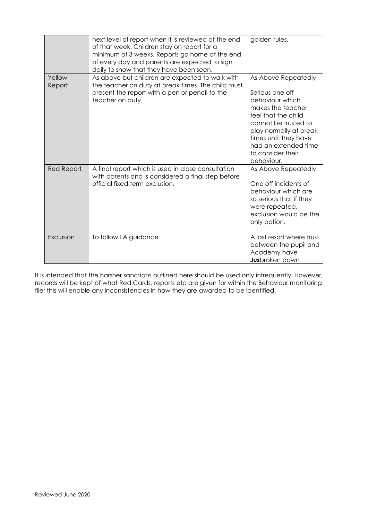|                  | next level of report when it is reviewed at the end<br>of that week. Children stay on report for a<br>minimum of 3 weeks. Reports go home at the end<br>of every day and parents are expected to sign<br>daily to show that they have been seen. | golden rules.                                                                                                                                                                                                                               |
|------------------|--------------------------------------------------------------------------------------------------------------------------------------------------------------------------------------------------------------------------------------------------|---------------------------------------------------------------------------------------------------------------------------------------------------------------------------------------------------------------------------------------------|
| Yellow<br>Report | As above but children are expected to walk with<br>the teacher on duty at break times. The child must<br>present the report with a pen or pencil to the<br>teacher on duty.                                                                      | As Above Repeatedly<br>Serious one off<br>behaviour which<br>makes the teacher<br>feel that the child<br>cannot be trusted to<br>play normally at break<br>times until they have<br>had an extended time<br>to consider their<br>behaviour. |
| Red Report       | A final report which is used in close consultation<br>with parents and is considered a final step before<br>official fixed term exclusion.                                                                                                       | As Above Repeatedly<br>One off incidents of<br>behaviour which are<br>so serious that if they<br>were repeated,<br>exclusion would be the<br>only option.                                                                                   |
| Exclusion        | To follow LA guidance                                                                                                                                                                                                                            | A last resort where trust<br>between the pupil and<br>Academy have<br>Jusbroken down                                                                                                                                                        |

It is intended that the harsher sanctions outlined here should be used only infrequently. However, records will be kept of what Red Cards, reports etc are given for within the Behaviour monitoring file; this will enable any inconsistencies in how they are awarded to be identified.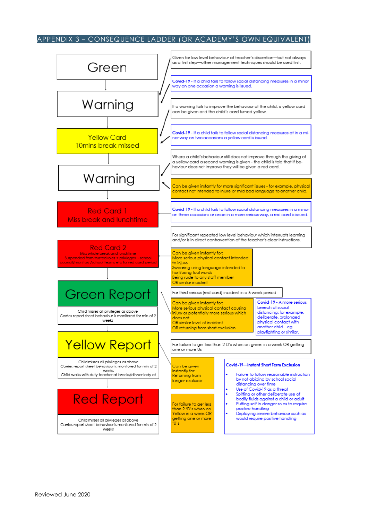#### APPENDIX 3 – CONSEQUENCE LADDER (OR ACADEMY'S OWN EQUIVALENT)

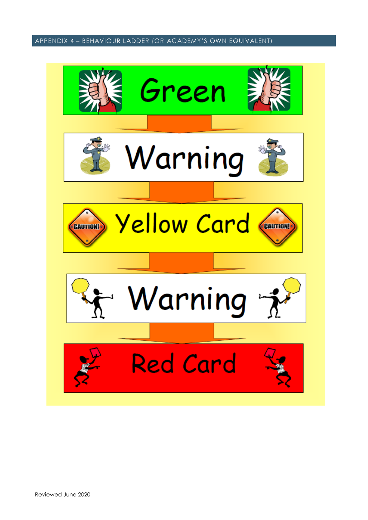APPENDIX 4 – BEHAVIOUR LADDER (OR ACADEMY'S OWN EQUIVALENT)

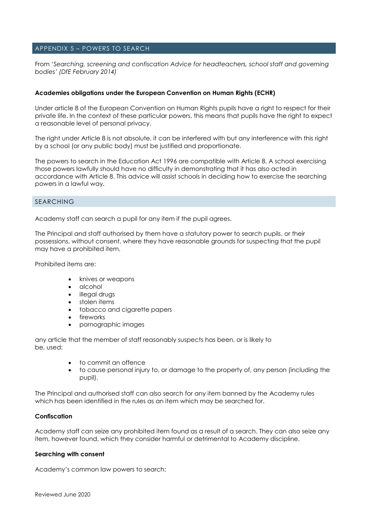#### APPENDIX 5 – POWERS TO SEARCH

From *'Searching, screening and confiscation Advice for headteachers, school staff and governing bodies' (DfE February 2014)*

#### **Academies obligations under the European Convention on Human Rights (ECHR)**

Under article 8 of the European Convention on Human Rights pupils have a right to respect for their private life. In the context of these particular powers, this means that pupils have the right to expect a reasonable level of personal privacy.

The right under Article 8 is not absolute, it can be interfered with but any interference with this right by a school (or any public body) must be justified and proportionate.

The powers to search in the Education Act 1996 are compatible with Article 8. A school exercising those powers lawfully should have no difficulty in demonstrating that it has also acted in accordance with Article 8. This advice will assist schools in deciding how to exercise the searching powers in a lawful way.

#### SEARCHING

Academy staff can search a pupil for any item if the pupil agrees.

The Principal and staff authorised by them have a statutory power to search pupils, or their possessions, without consent, where they have reasonable grounds for suspecting that the pupil may have a prohibited item.

Prohibited items are:

- knives or weapons
- alcohol
- illegal drugs
- stolen items
- tobacco and cigarette papers
- fireworks
- pornographic images

any article that the member of staff reasonably suspects has been, or is likely to be, used:

- to commit an offence
- to cause personal injury to, or damage to the property of, any person (including the pupil).

The Principal and authorised staff can also search for any item banned by the Academy rules which has been identified in the rules as an item which may be searched for.

#### **Confiscation**

Academy staff can seize any prohibited item found as a result of a search. They can also seize any item, however found, which they consider harmful or detrimental to Academy discipline.

#### **Searching with consent**

Academy's common law powers to search: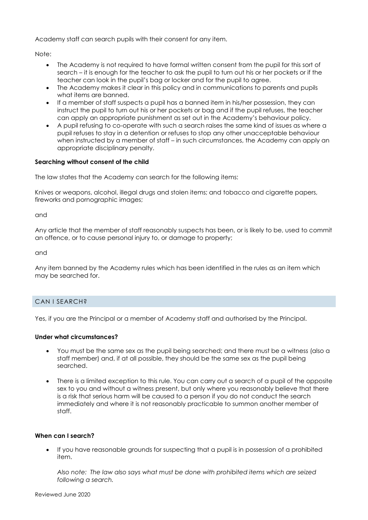Academy staff can search pupils with their consent for any item.

Note:

- The Academy is not required to have formal written consent from the pupil for this sort of search – it is enough for the teacher to ask the pupil to turn out his or her pockets or if the teacher can look in the pupil's bag or locker and for the pupil to agree.
- The Academy makes it clear in this policy and in communications to parents and pupils what items are banned.
- If a member of staff suspects a pupil has a banned item in his/her possession, they can instruct the pupil to turn out his or her pockets or bag and if the pupil refuses, the teacher can apply an appropriate punishment as set out in the Academy's behaviour policy.
- A pupil refusing to co-operate with such a search raises the same kind of issues as where a pupil refuses to stay in a detention or refuses to stop any other unacceptable behaviour when instructed by a member of staff – in such circumstances, the Academy can apply an appropriate disciplinary penalty.

#### **Searching without consent of the child**

The law states that the Academy can search for the following items:

Knives or weapons, alcohol, illegal drugs and stolen items; and tobacco and cigarette papers, fireworks and pornographic images;

and

Any article that the member of staff reasonably suspects has been, or is likely to be, used to commit an offence, or to cause personal injury to, or damage to property;

and

Any item banned by the Academy rules which has been identified in the rules as an item which may be searched for.

#### CAN I SEARCH?

Yes, if you are the Principal or a member of Academy staff and authorised by the Principal.

#### **Under what circumstances?**

- You must be the same sex as the pupil being searched; and there must be a witness (also a staff member) and, if at all possible, they should be the same sex as the pupil being searched.
- There is a limited exception to this rule. You can carry out a search of a pupil of the opposite sex to you and without a witness present, but only where you reasonably believe that there is a risk that serious harm will be caused to a person if you do not conduct the search immediately and where it is not reasonably practicable to summon another member of staff.

#### **When can I search?**

 If you have reasonable grounds for suspecting that a pupil is in possession of a prohibited item.

*Also note: The law also says what must be done with prohibited items which are seized following a search.*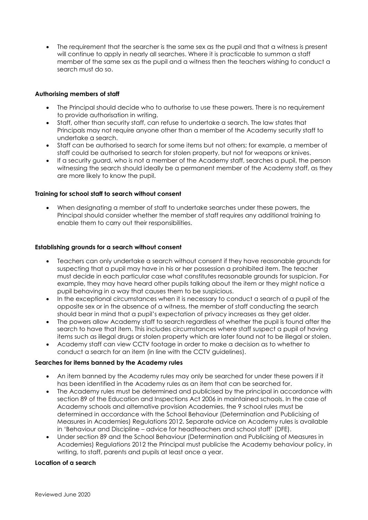The requirement that the searcher is the same sex as the pupil and that a witness is present will continue to apply in nearly all searches. Where it is practicable to summon a staff member of the same sex as the pupil and a witness then the teachers wishing to conduct a search must do so.

#### **Authorising members of staff**

- The Principal should decide who to authorise to use these powers. There is no requirement to provide authorisation in writing.
- Staff, other than security staff, can refuse to undertake a search. The law states that Principals may not require anyone other than a member of the Academy security staff to undertake a search.
- Staff can be authorised to search for some items but not others; for example, a member of staff could be authorised to search for stolen property, but not for weapons or knives.
- If a security guard, who is not a member of the Academy staff, searches a pupil, the person witnessing the search should ideally be a permanent member of the Academy staff, as they are more likely to know the pupil.

#### **Training for school staff to search without consent**

 When designating a member of staff to undertake searches under these powers, the Principal should consider whether the member of staff requires any additional training to enable them to carry out their responsibilities.

#### **Establishing grounds for a search without consent**

- Teachers can only undertake a search without consent if they have reasonable grounds for suspecting that a pupil may have in his or her possession a prohibited item. The teacher must decide in each particular case what constitutes reasonable grounds for suspicion. For example, they may have heard other pupils talking about the item or they might notice a pupil behaving in a way that causes them to be suspicious.
- In the exceptional circumstances when it is necessary to conduct a search of a pupil of the opposite sex or in the absence of a witness, the member of staff conducting the search should bear in mind that a pupil's expectation of privacy increases as they get older.
- The powers allow Academy staff to search regardless of whether the pupil is found after the search to have that item. This includes circumstances where staff suspect a pupil of having items such as illegal drugs or stolen property which are later found not to be illegal or stolen.
- Academy staff can view CCTV footage in order to make a decision as to whether to conduct a search for an item (in line with the CCTV guidelines).

#### **Searches for items banned by the Academy rules**

- An item banned by the Academy rules may only be searched for under these powers if it has been identified in the Academy rules as an item that can be searched for.
- The Academy rules must be determined and publicised by the principal in accordance with section 89 of the Education and Inspections Act 2006 in maintained schools. In the case of Academy schools and alternative provision Academies, the 9 school rules must be determined in accordance with the School Behaviour (Determination and Publicising of Measures in Academies) Regulations 2012. Separate advice on Academy rules is available in 'Behaviour and Discipline – advice for headteachers and school staff' (DFE).
- Under section 89 and the School Behaviour (Determination and Publicising of Measures in Academies) Regulations 2012 the Principal must publicise the Academy behaviour policy, in writing, to staff, parents and pupils at least once a year.

#### **Location of a search**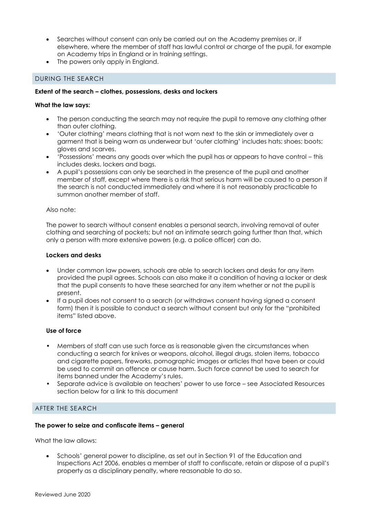- Searches without consent can only be carried out on the Academy premises or, if elsewhere, where the member of staff has lawful control or charge of the pupil, for example on Academy trips in England or in training settings.
- The powers only apply in England.

#### DURING THE SEARCH

#### **Extent of the search – clothes, possessions, desks and lockers**

#### **What the law says:**

- The person conducting the search may not require the pupil to remove any clothing other than outer clothing.
- 'Outer clothing' means clothing that is not worn next to the skin or immediately over a garment that is being worn as underwear but 'outer clothing' includes hats; shoes; boots; gloves and scarves.
- 'Possessions' means any goods over which the pupil has or appears to have control this includes desks, lockers and bags.
- A pupil's possessions can only be searched in the presence of the pupil and another member of staff, except where there is a risk that serious harm will be caused to a person if the search is not conducted immediately and where it is not reasonably practicable to summon another member of staff.

#### Also note:

The power to search without consent enables a personal search, involving removal of outer clothing and searching of pockets; but not an intimate search going further than that, which only a person with more extensive powers (e.g. a police officer) can do.

#### **Lockers and desks**

- Under common law powers, schools are able to search lockers and desks for any item provided the pupil agrees. Schools can also make it a condition of having a locker or desk that the pupil consents to have these searched for any item whether or not the pupil is present.
- If a pupil does not consent to a search (or withdraws consent having signed a consent form) then it is possible to conduct a search without consent but only for the "prohibited items" listed above.

#### **Use of force**

- Members of staff can use such force as is reasonable given the circumstances when conducting a search for knives or weapons, alcohol, illegal drugs, stolen items, tobacco and cigarette papers, fireworks, pornographic images or articles that have been or could be used to commit an offence or cause harm. Such force cannot be used to search for items banned under the Academy's rules.
- Separate advice is available on teachers' power to use force see Associated Resources section below for a link to this document

#### AFTER THE SEARCH

#### **The power to seize and confiscate items – general**

What the law allows:

 Schools' general power to discipline, as set out in Section 91 of the Education and Inspections Act 2006, enables a member of staff to confiscate, retain or dispose of a pupil's property as a disciplinary penalty, where reasonable to do so.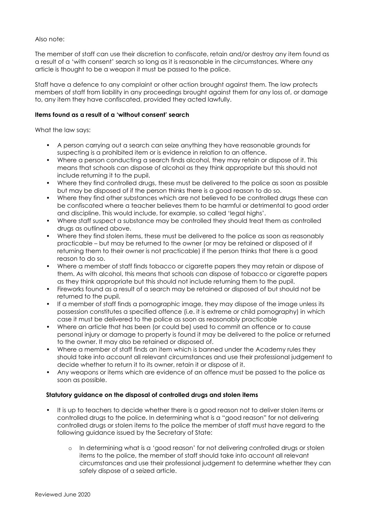#### Also note:

The member of staff can use their discretion to confiscate, retain and/or destroy any item found as a result of a 'with consent' search so long as it is reasonable in the circumstances. Where any article is thought to be a weapon it must be passed to the police.

Staff have a defence to any complaint or other action brought against them. The law protects members of staff from liability in any proceedings brought against them for any loss of, or damage to, any item they have confiscated, provided they acted lawfully.

#### **Items found as a result of a 'without consent' search**

What the law says:

- A person carrying out a search can seize anything they have reasonable grounds for suspecting is a prohibited item or is evidence in relation to an offence.
- Where a person conducting a search finds alcohol, they may retain or dispose of it. This means that schools can dispose of alcohol as they think appropriate but this should not include returning it to the pupil.
- Where they find controlled drugs, these must be delivered to the police as soon as possible but may be disposed of if the person thinks there is a good reason to do so.
- Where they find other substances which are not believed to be controlled drugs these can be confiscated where a teacher believes them to be harmful or detrimental to good order and discipline. This would include, for example, so called 'legal highs'.
- Where staff suspect a substance may be controlled they should treat them as controlled drugs as outlined above.
- Where they find stolen items, these must be delivered to the police as soon as reasonably practicable – but may be returned to the owner (or may be retained or disposed of if returning them to their owner is not practicable) if the person thinks that there is a good reason to do so.
- Where a member of staff finds tobacco or cigarette papers they may retain or dispose of them. As with alcohol, this means that schools can dispose of tobacco or cigarette papers as they think appropriate but this should not include returning them to the pupil.
- Fireworks found as a result of a search may be retained or disposed of but should not be returned to the pupil.
- If a member of staff finds a pornographic image, they may dispose of the image unless its possession constitutes a specified offence (i.e. it is extreme or child pornography) in which case it must be delivered to the police as soon as reasonably practicable
- Where an article that has been (or could be) used to commit an offence or to cause personal injury or damage to property is found it may be delivered to the police or returned to the owner. It may also be retained or disposed of.
- Where a member of staff finds an item which is banned under the Academy rules they should take into account all relevant circumstances and use their professional judgement to decide whether to return it to its owner, retain it or dispose of it.
- Any weapons or items which are evidence of an offence must be passed to the police as soon as possible.

#### **Statutory guidance on the disposal of controlled drugs and stolen items**

- It is up to teachers to decide whether there is a good reason not to deliver stolen items or controlled drugs to the police. In determining what is a "good reason" for not delivering controlled drugs or stolen items to the police the member of staff must have regard to the following guidance issued by the Secretary of State:
	- o In determining what is a 'good reason' for not delivering controlled drugs or stolen items to the police, the member of staff should take into account all relevant circumstances and use their professional judgement to determine whether they can safely dispose of a seized article.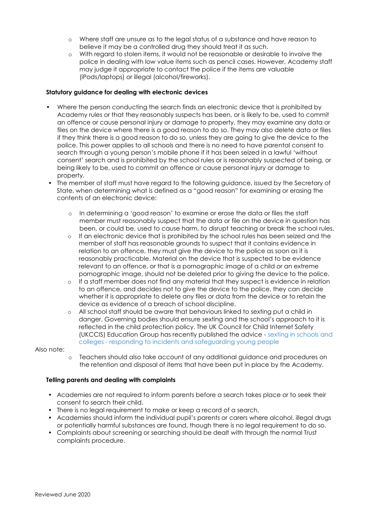- o Where staff are unsure as to the legal status of a substance and have reason to believe it may be a controlled drug they should treat it as such.
- o With regard to stolen items, it would not be reasonable or desirable to involve the police in dealing with low value items such as pencil cases. However, Academy staff may judge it appropriate to contact the police if the items are valuable (iPods/laptops) or illegal (alcohol/fireworks).

#### **Statutory guidance for dealing with electronic devices**

- Where the person conducting the search finds an electronic device that is prohibited by Academy rules or that they reasonably suspects has been, or is likely to be, used to commit an offence or cause personal injury or damage to property, they may examine any data or files on the device where there is a good reason to do so. They may also delete data or files if they think there is a good reason to do so, unless they are going to give the device to the police. This power applies to all schools and there is no need to have parental consent to search through a young person's mobile phone if it has been seized in a lawful 'without consent' search and is prohibited by the school rules or is reasonably suspected of being, or being likely to be, used to commit an offence or cause personal injury or damage to property.
- The member of staff must have regard to the following guidance, issued by the Secretary of State, when determining what is defined as a "good reason" for examining or erasing the contents of an electronic device:
	- o In determining a 'good reason' to examine or erase the data or files the staff member must reasonably suspect that the data or file on the device in question has been, or could be, used to cause harm, to disrupt teaching or break the school rules.
	- o If an electronic device that is prohibited by the school rules has been seized and the member of staff has reasonable grounds to suspect that it contains evidence in relation to an offence, they must give the device to the police as soon as it is reasonably practicable. Material on the device that is suspected to be evidence relevant to an offence, or that is a pornographic image of a child or an extreme pornographic image, should not be deleted prior to giving the device to the police.
	- o If a staff member does not find any material that they suspect is evidence in relation to an offence, and decides not to give the device to the police, they can decide whether it is appropriate to delete any files or data from the device or to retain the device as evidence of a breach of school discipline.
	- o All school staff should be aware that behaviours linked to sexting put a child in danger. Governing bodies should ensure sexting and the school's approach to it is reflected in the child protection policy. The UK Council for Child Internet Safety (UKCCIS) Education Group has recently published the advice - sexting in schools and colleges - responding to incidents and safeguarding young people

Also note:

o Teachers should also take account of any additional guidance and procedures on the retention and disposal of items that have been put in place by the Academy.

#### **Telling parents and dealing with complaints**

- Academies are not required to inform parents before a search takes place or to seek their consent to search their child.
- There is no legal requirement to make or keep a record of a search.
- Academies should inform the individual pupil's parents or carers where alcohol, illegal drugs or potentially harmful substances are found, though there is no legal requirement to do so.
- Complaints about screening or searching should be dealt with through the normal Trust complaints procedure.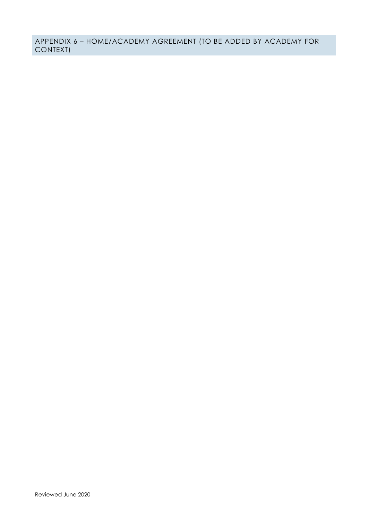APPENDIX 6 – HOME/ACADEMY AGREEMENT (TO BE ADDED BY ACADEMY FOR CONTEXT)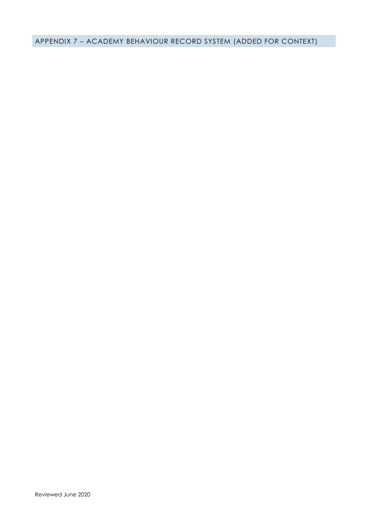APPENDIX 7 – ACADEMY BEHAVIOUR RECORD SYSTEM (ADDED FOR CONTEXT)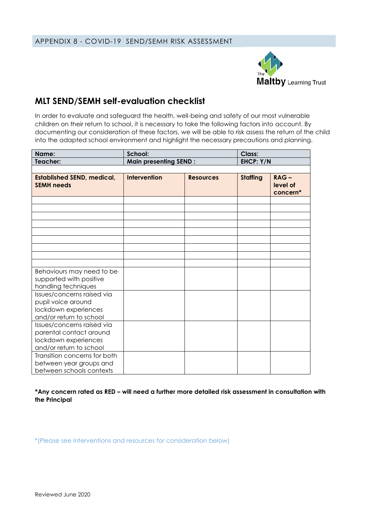

# **MLT SEND/SEMH self-evaluation checklist**

In order to evaluate and safeguard the health, well-being and safety of our most vulnerable children on their return to school, it is necessary to take the following factors into account. By documenting our consideration of these factors, we will be able to risk assess the return of the child into the adapted school environment and highlight the necessary precautions and planning.

| Name:                                                                                                    | School:                      |                  | <b>Class:</b>   |                                 |
|----------------------------------------------------------------------------------------------------------|------------------------------|------------------|-----------------|---------------------------------|
| Teacher:                                                                                                 | <b>Main presenting SEND:</b> |                  | EHCP: Y/N       |                                 |
|                                                                                                          |                              |                  |                 |                                 |
| <b>Established SEND, medical,</b><br><b>SEMH needs</b>                                                   | <b>Intervention</b>          | <b>Resources</b> | <b>Staffing</b> | $RAG -$<br>level of<br>concern* |
|                                                                                                          |                              |                  |                 |                                 |
|                                                                                                          |                              |                  |                 |                                 |
|                                                                                                          |                              |                  |                 |                                 |
|                                                                                                          |                              |                  |                 |                                 |
|                                                                                                          |                              |                  |                 |                                 |
|                                                                                                          |                              |                  |                 |                                 |
|                                                                                                          |                              |                  |                 |                                 |
|                                                                                                          |                              |                  |                 |                                 |
|                                                                                                          |                              |                  |                 |                                 |
| Behaviours may need to be<br>supported with positive<br>handling techniques                              |                              |                  |                 |                                 |
| Issues/concerns raised via<br>pupil voice around<br>lockdown experiences<br>and/or return to school      |                              |                  |                 |                                 |
| Issues/concerns raised via<br>parental contact around<br>lockdown experiences<br>and/or return to school |                              |                  |                 |                                 |
| Transition concerns for both<br>between year groups and<br>between schools contexts                      |                              |                  |                 |                                 |

**\*Any concern rated as RED – will need a further more detailed risk assessment in consultation with the Principal**

\*(Please see interventions and resources for consideration below)